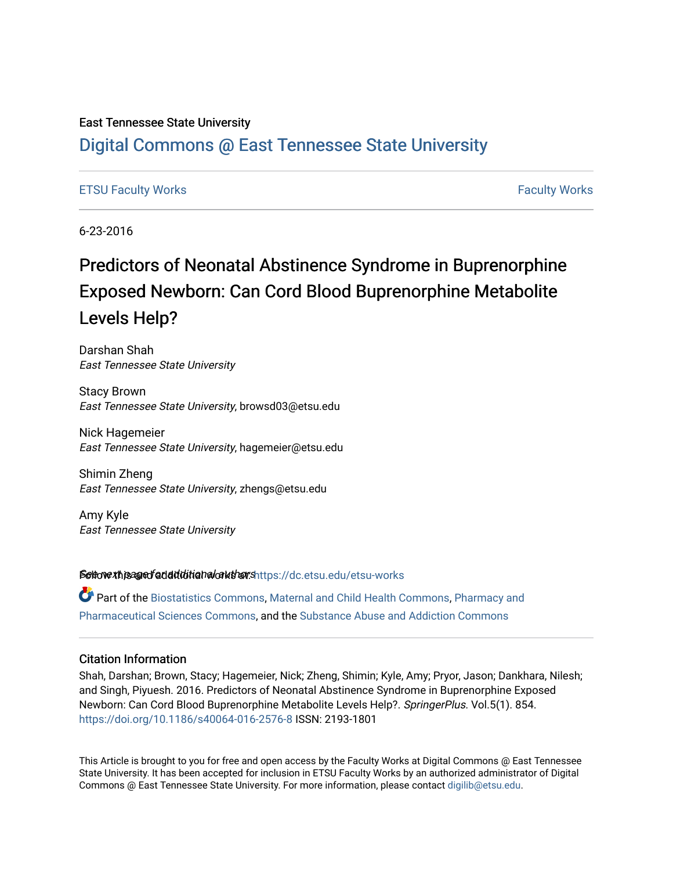#### East Tennessee State University

## [Digital Commons @ East Tennessee State University](https://dc.etsu.edu/)

#### [ETSU Faculty Works](https://dc.etsu.edu/etsu-works) [Faculty Works](https://dc.etsu.edu/faculty-works)

6-23-2016

## Predictors of Neonatal Abstinence Syndrome in Buprenorphine Exposed Newborn: Can Cord Blood Buprenorphine Metabolite Levels Help?

Darshan Shah East Tennessee State University

Stacy Brown East Tennessee State University, browsd03@etsu.edu

Nick Hagemeier East Tennessee State University, hagemeier@etsu.edu

Shimin Zheng East Tennessee State University, zhengs@etsu.edu

Amy Kyle East Tennessee State University

Settow this age of addiditional authorshttps://dc.etsu.edu/etsu-works

Part of the [Biostatistics Commons,](http://network.bepress.com/hgg/discipline/210?utm_source=dc.etsu.edu%2Fetsu-works%2F46&utm_medium=PDF&utm_campaign=PDFCoverPages) [Maternal and Child Health Commons](http://network.bepress.com/hgg/discipline/745?utm_source=dc.etsu.edu%2Fetsu-works%2F46&utm_medium=PDF&utm_campaign=PDFCoverPages), [Pharmacy and](http://network.bepress.com/hgg/discipline/731?utm_source=dc.etsu.edu%2Fetsu-works%2F46&utm_medium=PDF&utm_campaign=PDFCoverPages) [Pharmaceutical Sciences Commons,](http://network.bepress.com/hgg/discipline/731?utm_source=dc.etsu.edu%2Fetsu-works%2F46&utm_medium=PDF&utm_campaign=PDFCoverPages) and the [Substance Abuse and Addiction Commons](http://network.bepress.com/hgg/discipline/710?utm_source=dc.etsu.edu%2Fetsu-works%2F46&utm_medium=PDF&utm_campaign=PDFCoverPages) 

#### Citation Information

Shah, Darshan; Brown, Stacy; Hagemeier, Nick; Zheng, Shimin; Kyle, Amy; Pryor, Jason; Dankhara, Nilesh; and Singh, Piyuesh. 2016. Predictors of Neonatal Abstinence Syndrome in Buprenorphine Exposed Newborn: Can Cord Blood Buprenorphine Metabolite Levels Help?. SpringerPlus. Vol.5(1). 854. <https://doi.org/10.1186/s40064-016-2576-8> ISSN: 2193-1801

This Article is brought to you for free and open access by the Faculty Works at Digital Commons @ East Tennessee State University. It has been accepted for inclusion in ETSU Faculty Works by an authorized administrator of Digital Commons @ East Tennessee State University. For more information, please contact [digilib@etsu.edu.](mailto:digilib@etsu.edu)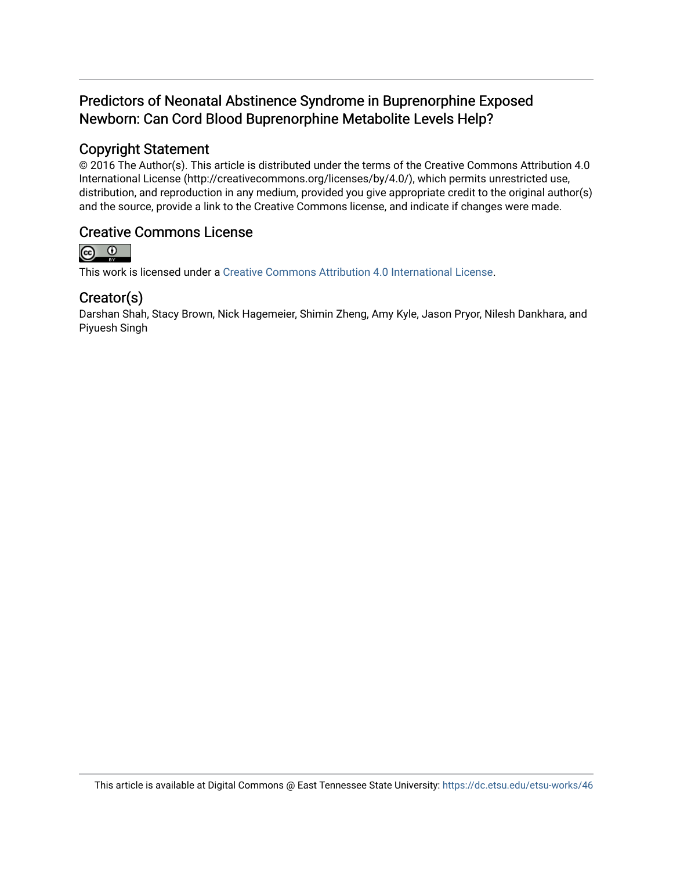## Predictors of Neonatal Abstinence Syndrome in Buprenorphine Exposed Newborn: Can Cord Blood Buprenorphine Metabolite Levels Help?

## Copyright Statement

© 2016 The Author(s). This article is distributed under the terms of the Creative Commons Attribution 4.0 International License (http://creativecommons.org/licenses/by/4.0/), which permits unrestricted use, distribution, and reproduction in any medium, provided you give appropriate credit to the original author(s) and the source, provide a link to the Creative Commons license, and indicate if changes were made.

## Creative Commons License



This work is licensed under a [Creative Commons Attribution 4.0 International License.](https://creativecommons.org/licenses/by/4.0/)

## Creator(s)

Darshan Shah, Stacy Brown, Nick Hagemeier, Shimin Zheng, Amy Kyle, Jason Pryor, Nilesh Dankhara, and Piyuesh Singh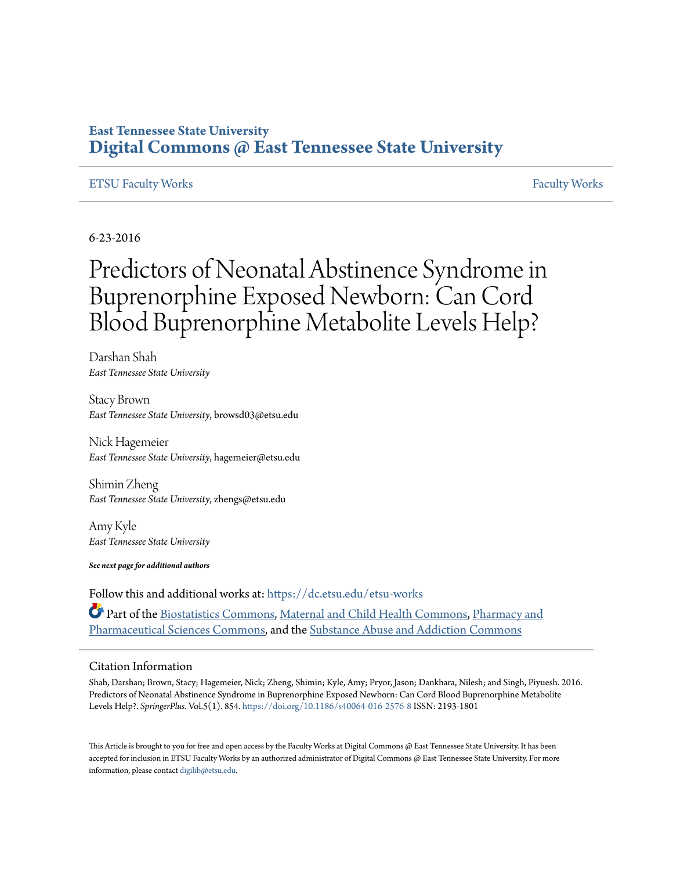## **East Tennessee State University [Digital Commons @ East Tennessee State University](https://dc.etsu.edu?utm_source=dc.etsu.edu%2Fetsu-works%2F46&utm_medium=PDF&utm_campaign=PDFCoverPages)**

#### [ETSU Faculty Works](https://dc.etsu.edu/etsu-works?utm_source=dc.etsu.edu%2Fetsu-works%2F46&utm_medium=PDF&utm_campaign=PDFCoverPages) [Faculty Works](https://dc.etsu.edu/faculty-works?utm_source=dc.etsu.edu%2Fetsu-works%2F46&utm_medium=PDF&utm_campaign=PDFCoverPages) Faculty Works Faculty Works Faculty Works Faculty Works Faculty Works Faculty Works Faculty Morks Faculty Morks Faculty Morks Faculty Morks Faculty Morks Faculty Morks Faculty Morks Faculty

### 6-23-2016

# Predictors of Neonatal Abstinence Syndrome in Buprenorphine Exposed Newborn: Can Cord Blood Buprenorphine Metabolite Levels Help?

Darshan Shah *East Tennessee State University*

Stacy Brown *East Tennessee State University*, browsd03@etsu.edu

Nick Hagemeier *East Tennessee State University*, hagemeier@etsu.edu

Shimin Zheng *East Tennessee State University*, zhengs@etsu.edu

Amy Kyle *East Tennessee State University*

*See next page for additional authors*

Follow this and additional works at: [https://dc.etsu.edu/etsu-works](https://dc.etsu.edu/etsu-works?utm_source=dc.etsu.edu%2Fetsu-works%2F46&utm_medium=PDF&utm_campaign=PDFCoverPages) Part of the [Biostatistics Commons,](http://network.bepress.com/hgg/discipline/210?utm_source=dc.etsu.edu%2Fetsu-works%2F46&utm_medium=PDF&utm_campaign=PDFCoverPages) [Maternal and Child Health Commons](http://network.bepress.com/hgg/discipline/745?utm_source=dc.etsu.edu%2Fetsu-works%2F46&utm_medium=PDF&utm_campaign=PDFCoverPages), [Pharmacy and](http://network.bepress.com/hgg/discipline/731?utm_source=dc.etsu.edu%2Fetsu-works%2F46&utm_medium=PDF&utm_campaign=PDFCoverPages) [Pharmaceutical Sciences Commons](http://network.bepress.com/hgg/discipline/731?utm_source=dc.etsu.edu%2Fetsu-works%2F46&utm_medium=PDF&utm_campaign=PDFCoverPages), and the [Substance Abuse and Addiction Commons](http://network.bepress.com/hgg/discipline/710?utm_source=dc.etsu.edu%2Fetsu-works%2F46&utm_medium=PDF&utm_campaign=PDFCoverPages)

#### Citation Information

Shah, Darshan; Brown, Stacy; Hagemeier, Nick; Zheng, Shimin; Kyle, Amy; Pryor, Jason; Dankhara, Nilesh; and Singh, Piyuesh. 2016. Predictors of Neonatal Abstinence Syndrome in Buprenorphine Exposed Newborn: Can Cord Blood Buprenorphine Metabolite Levels Help?. *SpringerPlus*. Vol.5(1). 854. <https://doi.org/10.1186/s40064-016-2576-8> ISSN: 2193-1801

This Article is brought to you for free and open access by the Faculty Works at Digital Commons  $\varpi$  East Tennessee State University. It has been accepted for inclusion in ETSU Faculty Works by an authorized administrator of Digital Commons @ East Tennessee State University. For more information, please contact [digilib@etsu.edu.](mailto:digilib@etsu.edu)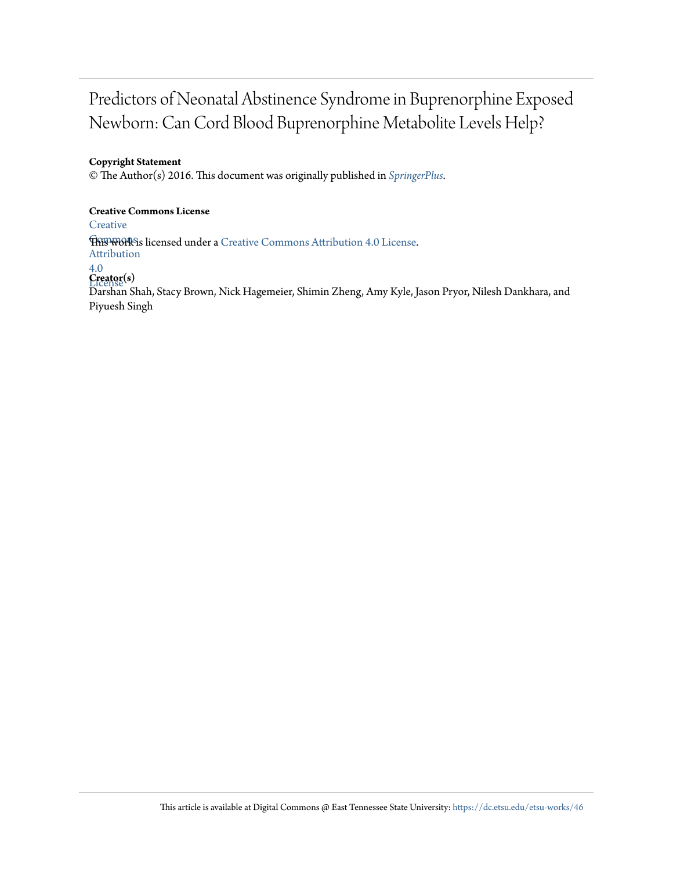## Predictors of Neonatal Abstinence Syndrome in Buprenorphine Exposed Newborn: Can Cord Blood Buprenorphine Metabolite Levels Help?

#### **Copyright Statement**

© The Author(s) 2016. This document was originally published in *[SpringerPlus](https://doi.org/10.1186/s40064-016-2576-8)*.

#### **Creative Commons License**

**[Creative](http://creativecommons.org/licenses/by/4.0/)** 

**This work is licensed under a** [Creative Commons Attribution 4.0 License.](http://creativecommons.org/licenses/by/4.0/) Attribution

## 4.0

License **Creator(s)** Darshan Shah, Stacy Brown, Nick Hagemeier, Shimin Zheng, Amy Kyle, Jason Pryor, Nilesh Dankhara, and Piyuesh Singh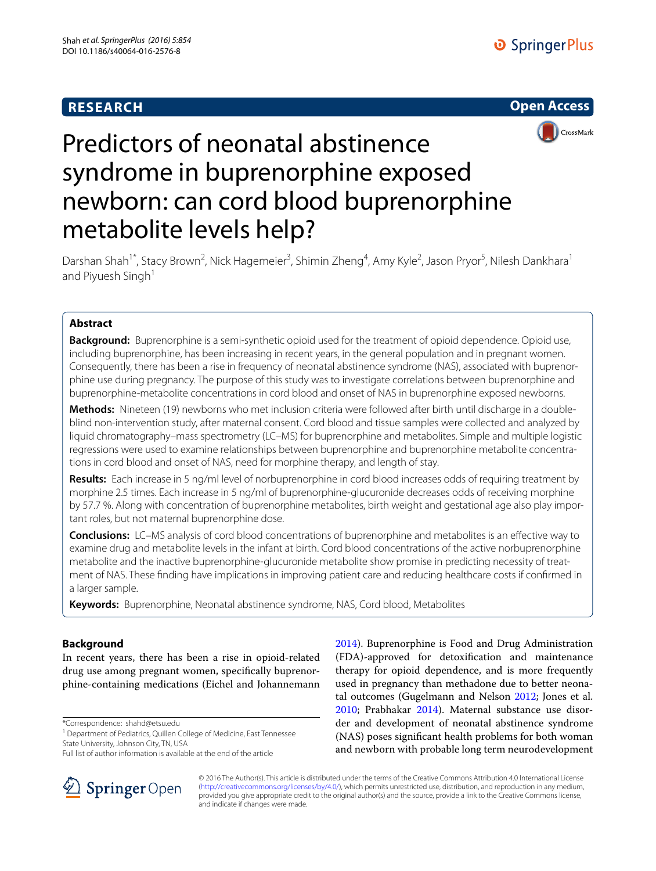## **RESEARCH**





# Predictors of neonatal abstinence syndrome in buprenorphine exposed newborn: can cord blood buprenorphine metabolite levels help?

Darshan Shah<sup>1\*</sup>, Stacy Brown<sup>2</sup>, Nick Hagemeier<sup>3</sup>, Shimin Zheng<sup>4</sup>, Amy Kyle<sup>2</sup>, Jason Pryor<sup>5</sup>, Nilesh Dankhara<sup>1</sup> and Piyuesh Singh<sup>1</sup>

#### **Abstract**

**Background:** Buprenorphine is a semi-synthetic opioid used for the treatment of opioid dependence. Opioid use, including buprenorphine, has been increasing in recent years, in the general population and in pregnant women. Consequently, there has been a rise in frequency of neonatal abstinence syndrome (NAS), associated with buprenorphine use during pregnancy. The purpose of this study was to investigate correlations between buprenorphine and buprenorphine-metabolite concentrations in cord blood and onset of NAS in buprenorphine exposed newborns.

**Methods:** Nineteen (19) newborns who met inclusion criteria were followed after birth until discharge in a doubleblind non-intervention study, after maternal consent. Cord blood and tissue samples were collected and analyzed by liquid chromatography–mass spectrometry (LC–MS) for buprenorphine and metabolites. Simple and multiple logistic regressions were used to examine relationships between buprenorphine and buprenorphine metabolite concentrations in cord blood and onset of NAS, need for morphine therapy, and length of stay.

**Results:** Each increase in 5 ng/ml level of norbuprenorphine in cord blood increases odds of requiring treatment by morphine 2.5 times. Each increase in 5 ng/ml of buprenorphine-glucuronide decreases odds of receiving morphine by 57.7 %. Along with concentration of buprenorphine metabolites, birth weight and gestational age also play important roles, but not maternal buprenorphine dose.

**Conclusions:** LC–MS analysis of cord blood concentrations of buprenorphine and metabolites is an effective way to examine drug and metabolite levels in the infant at birth. Cord blood concentrations of the active norbuprenorphine metabolite and the inactive buprenorphine-glucuronide metabolite show promise in predicting necessity of treatment of NAS. These finding have implications in improving patient care and reducing healthcare costs if confirmed in a larger sample.

**Keywords:** Buprenorphine, Neonatal abstinence syndrome, NAS, Cord blood, Metabolites

#### **Background**

In recent years, there has been a rise in opioid-related drug use among pregnant women, specifically buprenorphine-containing medications (Eichel and Johannemann

\*Correspondence: shahd@etsu.edu

<sup>1</sup> Department of Pediatrics, Quillen College of Medicine, East Tennessee State University, Johnson City, TN, USA

Full list of author information is available at the end of the article



[2014](#page-9-0)). Buprenorphine is Food and Drug Administration (FDA)-approved for detoxification and maintenance therapy for opioid dependence, and is more frequently used in pregnancy than methadone due to better neonatal outcomes (Gugelmann and Nelson [2012;](#page-9-1) Jones et al. [2010](#page-9-2); Prabhakar [2014](#page-9-3)). Maternal substance use disorder and development of neonatal abstinence syndrome (NAS) poses significant health problems for both woman and newborn with probable long term neurodevelopment

© 2016 The Author(s). This article is distributed under the terms of the Creative Commons Attribution 4.0 International License [\(http://creativecommons.org/licenses/by/4.0/\)](http://creativecommons.org/licenses/by/4.0/), which permits unrestricted use, distribution, and reproduction in any medium, provided you give appropriate credit to the original author(s) and the source, provide a link to the Creative Commons license, and indicate if changes were made.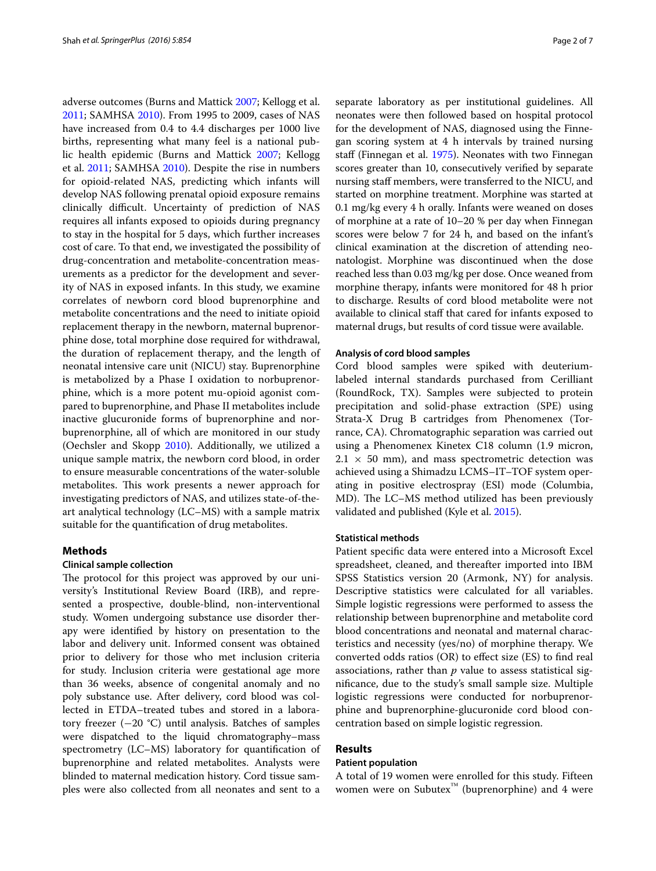adverse outcomes (Burns and Mattick [2007](#page-9-4); Kellogg et al. [2011](#page-9-5); SAMHSA [2010\)](#page-10-0). From 1995 to 2009, cases of NAS have increased from 0.4 to 4.4 discharges per 1000 live births, representing what many feel is a national public health epidemic (Burns and Mattick [2007;](#page-9-4) Kellogg et al. [2011](#page-9-5); SAMHSA [2010\)](#page-10-0). Despite the rise in numbers for opioid-related NAS, predicting which infants will develop NAS following prenatal opioid exposure remains clinically difficult. Uncertainty of prediction of NAS requires all infants exposed to opioids during pregnancy to stay in the hospital for 5 days, which further increases cost of care. To that end, we investigated the possibility of drug-concentration and metabolite-concentration measurements as a predictor for the development and severity of NAS in exposed infants. In this study, we examine correlates of newborn cord blood buprenorphine and metabolite concentrations and the need to initiate opioid replacement therapy in the newborn, maternal buprenorphine dose, total morphine dose required for withdrawal, the duration of replacement therapy, and the length of neonatal intensive care unit (NICU) stay. Buprenorphine is metabolized by a Phase I oxidation to norbuprenorphine, which is a more potent mu-opioid agonist compared to buprenorphine, and Phase II metabolites include inactive glucuronide forms of buprenorphine and norbuprenorphine, all of which are monitored in our study (Oechsler and Skopp [2010\)](#page-9-6). Additionally, we utilized a unique sample matrix, the newborn cord blood, in order to ensure measurable concentrations of the water-soluble metabolites. This work presents a newer approach for investigating predictors of NAS, and utilizes state-of-theart analytical technology (LC–MS) with a sample matrix suitable for the quantification of drug metabolites.

#### **Methods**

#### **Clinical sample collection**

The protocol for this project was approved by our university's Institutional Review Board (IRB), and represented a prospective, double-blind, non-interventional study. Women undergoing substance use disorder therapy were identified by history on presentation to the labor and delivery unit. Informed consent was obtained prior to delivery for those who met inclusion criteria for study. Inclusion criteria were gestational age more than 36 weeks, absence of congenital anomaly and no poly substance use. After delivery, cord blood was collected in ETDA–treated tubes and stored in a laboratory freezer (−20 °C) until analysis. Batches of samples were dispatched to the liquid chromatography–mass spectrometry (LC–MS) laboratory for quantification of buprenorphine and related metabolites. Analysts were blinded to maternal medication history. Cord tissue samples were also collected from all neonates and sent to a separate laboratory as per institutional guidelines. All neonates were then followed based on hospital protocol for the development of NAS, diagnosed using the Finnegan scoring system at 4 h intervals by trained nursing staff (Finnegan et al. [1975](#page-9-7)). Neonates with two Finnegan scores greater than 10, consecutively verified by separate nursing staff members, were transferred to the NICU, and started on morphine treatment. Morphine was started at 0.1 mg/kg every 4 h orally. Infants were weaned on doses of morphine at a rate of 10–20 % per day when Finnegan scores were below 7 for 24 h, and based on the infant's clinical examination at the discretion of attending neonatologist. Morphine was discontinued when the dose reached less than 0.03 mg/kg per dose. Once weaned from morphine therapy, infants were monitored for 48 h prior to discharge. Results of cord blood metabolite were not available to clinical staff that cared for infants exposed to maternal drugs, but results of cord tissue were available.

#### **Analysis of cord blood samples**

Cord blood samples were spiked with deuteriumlabeled internal standards purchased from Cerilliant (RoundRock, TX). Samples were subjected to protein precipitation and solid-phase extraction (SPE) using Strata-X Drug B cartridges from Phenomenex (Torrance, CA). Chromatographic separation was carried out using a Phenomenex Kinetex C18 column (1.9 micron,  $2.1 \times 50$  mm), and mass spectrometric detection was achieved using a Shimadzu LCMS–IT–TOF system operating in positive electrospray (ESI) mode (Columbia, MD). The LC–MS method utilized has been previously validated and published (Kyle et al. [2015](#page-9-8)).

#### **Statistical methods**

Patient specific data were entered into a Microsoft Excel spreadsheet, cleaned, and thereafter imported into IBM SPSS Statistics version 20 (Armonk, NY) for analysis. Descriptive statistics were calculated for all variables. Simple logistic regressions were performed to assess the relationship between buprenorphine and metabolite cord blood concentrations and neonatal and maternal characteristics and necessity (yes/no) of morphine therapy. We converted odds ratios (OR) to effect size (ES) to find real associations, rather than *p* value to assess statistical significance, due to the study's small sample size. Multiple logistic regressions were conducted for norbuprenorphine and buprenorphine-glucuronide cord blood concentration based on simple logistic regression.

#### **Results**

#### **Patient population**

A total of 19 women were enrolled for this study. Fifteen women were on Subutex™ (buprenorphine) and 4 were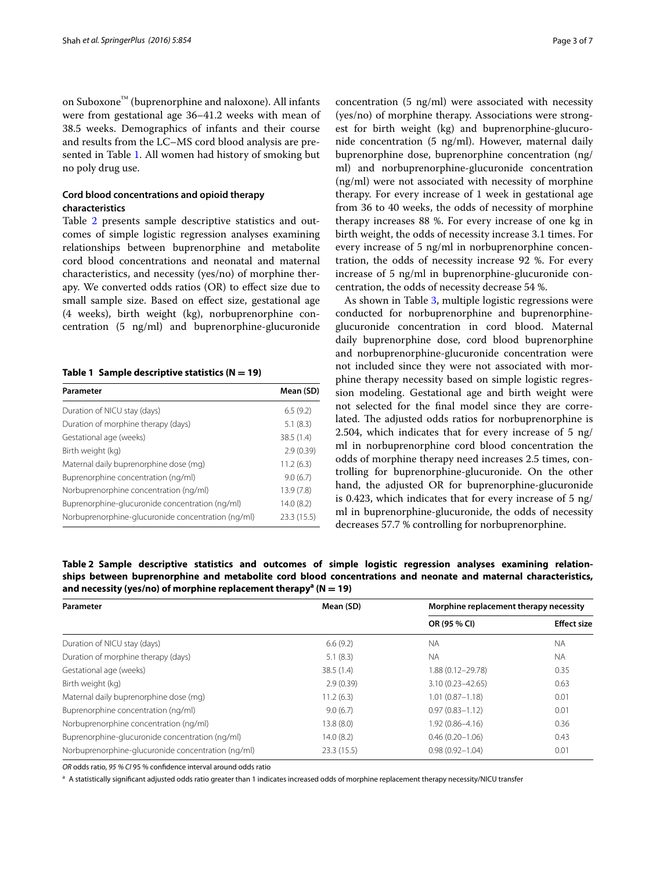on Suboxone™ (buprenorphine and naloxone). All infants were from gestational age 36–41.2 weeks with mean of 38.5 weeks. Demographics of infants and their course and results from the LC–MS cord blood analysis are presented in Table [1.](#page-6-0) All women had history of smoking but no poly drug use.

#### **Cord blood concentrations and opioid therapy characteristics**

Table [2](#page-6-1) presents sample descriptive statistics and outcomes of simple logistic regression analyses examining relationships between buprenorphine and metabolite cord blood concentrations and neonatal and maternal characteristics, and necessity (yes/no) of morphine therapy. We converted odds ratios (OR) to effect size due to small sample size. Based on effect size, gestational age (4 weeks), birth weight (kg), norbuprenorphine concentration (5 ng/ml) and buprenorphine-glucuronide

#### <span id="page-6-0"></span>**Table 1 Sample descriptive statistics (N = 19)**

| Parameter                                          | Mean (SD)   |
|----------------------------------------------------|-------------|
| Duration of NICU stay (days)                       | 6.5(9.2)    |
| Duration of morphine therapy (days)                | 5.1(8.3)    |
| Gestational age (weeks)                            | 38.5 (1.4)  |
| Birth weight (kg)                                  | 2.9(0.39)   |
| Maternal daily buprenorphine dose (mg)             | 11.2(6.3)   |
| Buprenorphine concentration (ng/ml)                | 9.0(6.7)    |
| Norbuprenorphine concentration (ng/ml)             | 13.9(7.8)   |
| Buprenorphine-glucuronide concentration (ng/ml)    | 14.0(8.2)   |
| Norbuprenorphine-glucuronide concentration (ng/ml) | 23.3 (15.5) |

concentration (5 ng/ml) were associated with necessity (yes/no) of morphine therapy. Associations were strongest for birth weight (kg) and buprenorphine-glucuronide concentration (5 ng/ml). However, maternal daily buprenorphine dose, buprenorphine concentration (ng/ ml) and norbuprenorphine-glucuronide concentration (ng/ml) were not associated with necessity of morphine therapy. For every increase of 1 week in gestational age from 36 to 40 weeks, the odds of necessity of morphine therapy increases 88 %. For every increase of one kg in birth weight, the odds of necessity increase 3.1 times. For every increase of 5 ng/ml in norbuprenorphine concentration, the odds of necessity increase 92 %. For every increase of 5 ng/ml in buprenorphine-glucuronide concentration, the odds of necessity decrease 54 %.

As shown in Table [3,](#page-7-0) multiple logistic regressions were conducted for norbuprenorphine and buprenorphineglucuronide concentration in cord blood. Maternal daily buprenorphine dose, cord blood buprenorphine and norbuprenorphine-glucuronide concentration were not included since they were not associated with morphine therapy necessity based on simple logistic regression modeling. Gestational age and birth weight were not selected for the final model since they are correlated. The adjusted odds ratios for norbuprenorphine is 2.504, which indicates that for every increase of 5 ng/ ml in norbuprenorphine cord blood concentration the odds of morphine therapy need increases 2.5 times, controlling for buprenorphine-glucuronide. On the other hand, the adjusted OR for buprenorphine-glucuronide is 0.423, which indicates that for every increase of 5 ng/ ml in buprenorphine-glucuronide, the odds of necessity decreases 57.7 % controlling for norbuprenorphine.

<span id="page-6-1"></span>**Table 2 Sample descriptive statistics and outcomes of simple logistic regression analyses examining relationships between buprenorphine and metabolite cord blood concentrations and neonate and maternal characteristics, and necessity (yes/no) of morphine replacement therapya (N = 19)**

| Parameter                                          | Mean (SD)  | Morphine replacement therapy necessity |                    |  |
|----------------------------------------------------|------------|----------------------------------------|--------------------|--|
|                                                    |            | OR (95 % CI)                           | <b>Effect size</b> |  |
| Duration of NICU stay (days)                       | 6.6(9.2)   | <b>NA</b>                              | <b>NA</b>          |  |
| Duration of morphine therapy (days)                | 5.1(8.3)   | <b>NA</b>                              | <b>NA</b>          |  |
| Gestational age (weeks)                            | 38.5(1.4)  | 1.88 (0.12-29.78)                      | 0.35               |  |
| Birth weight (kg)                                  | 2.9(0.39)  | $3.10(0.23 - 42.65)$                   | 0.63               |  |
| Maternal daily buprenorphine dose (mg)             | 11.2(6.3)  | $1.01(0.87 - 1.18)$                    | 0.01               |  |
| Buprenorphine concentration (ng/ml)                | 9.0(6.7)   | $0.97(0.83 - 1.12)$                    | 0.01               |  |
| Norbuprenorphine concentration (ng/ml)             | 13.8(8.0)  | $1.92(0.86 - 4.16)$                    | 0.36               |  |
| Buprenorphine-glucuronide concentration (ng/ml)    | 14.0(8.2)  | $0.46(0.20 - 1.06)$<br>0.43            |                    |  |
| Norbuprenorphine-glucuronide concentration (ng/ml) | 23.3(15.5) | $0.98(0.92 - 1.04)$<br>0.01            |                    |  |

*OR* odds ratio, *95 % CI* 95 % confidence interval around odds ratio

<sup>a</sup> A statistically significant adjusted odds ratio greater than 1 indicates increased odds of morphine replacement therapy necessity/NICU transfer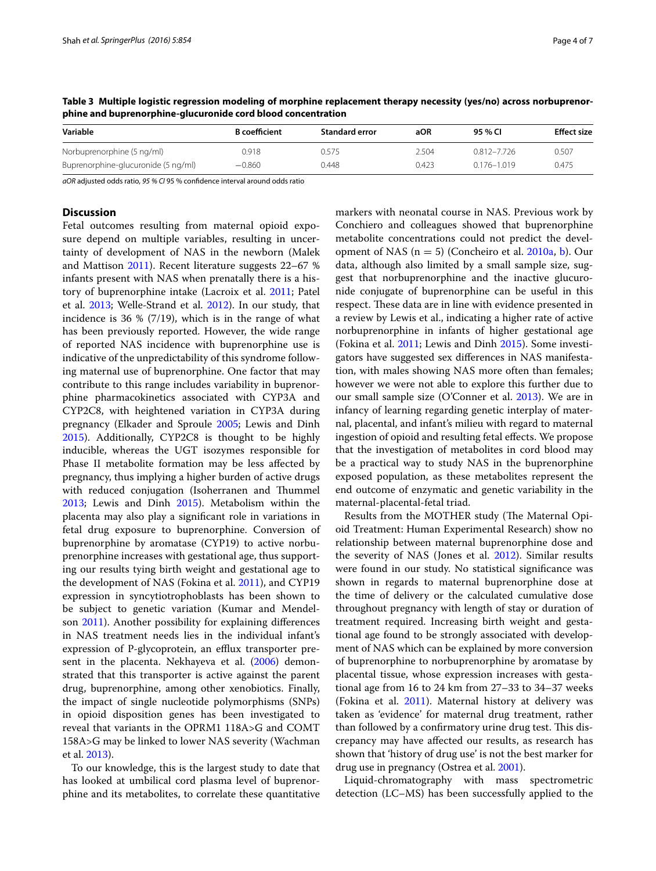| Variable                            | <b>B</b> coefficient | <b>Standard error</b> | aOR   | 95 % CI     | <b>Effect size</b> |
|-------------------------------------|----------------------|-----------------------|-------|-------------|--------------------|
| Norbuprenorphine (5 ng/ml)          | 0.918                | 2.575                 | 2.504 | 0.812-7.726 | 0.507              |
| Buprenorphine-glucuronide (5 ng/ml) | $-0.860$             | 0.448                 | 0.423 | 0.176-1.019 | 0.475              |

<span id="page-7-0"></span>**Table 3 Multiple logistic regression modeling of morphine replacement therapy necessity (yes/no) across norbuprenorphine and buprenorphine-glucuronide cord blood concentration**

*aOR* adjusted odds ratio, *95 % CI* 95 % confidence interval around odds ratio

#### **Discussion**

Fetal outcomes resulting from maternal opioid exposure depend on multiple variables, resulting in uncertainty of development of NAS in the newborn (Malek and Mattison [2011\)](#page-9-9). Recent literature suggests 22–67 % infants present with NAS when prenatally there is a history of buprenorphine intake (Lacroix et al. [2011;](#page-9-10) Patel et al. [2013;](#page-9-11) Welle-Strand et al. [2012\)](#page-10-1). In our study, that incidence is 36  $% (7/19)$ , which is in the range of what has been previously reported. However, the wide range of reported NAS incidence with buprenorphine use is indicative of the unpredictability of this syndrome following maternal use of buprenorphine. One factor that may contribute to this range includes variability in buprenorphine pharmacokinetics associated with CYP3A and CYP2C8, with heightened variation in CYP3A during pregnancy (Elkader and Sproule [2005](#page-9-12); Lewis and Dinh [2015](#page-9-13)). Additionally, CYP2C8 is thought to be highly inducible, whereas the UGT isozymes responsible for Phase II metabolite formation may be less affected by pregnancy, thus implying a higher burden of active drugs with reduced conjugation (Isoherranen and Thummel [2013](#page-9-14); Lewis and Dinh [2015](#page-9-13)). Metabolism within the placenta may also play a significant role in variations in fetal drug exposure to buprenorphine. Conversion of buprenorphine by aromatase (CYP19) to active norbuprenorphine increases with gestational age, thus supporting our results tying birth weight and gestational age to the development of NAS (Fokina et al. [2011](#page-9-15)), and CYP19 expression in syncytiotrophoblasts has been shown to be subject to genetic variation (Kumar and Mendelson [2011](#page-9-16)). Another possibility for explaining differences in NAS treatment needs lies in the individual infant's expression of P-glycoprotein, an efflux transporter pre-sent in the placenta. Nekhayeva et al. ([2006](#page-9-17)) demonstrated that this transporter is active against the parent drug, buprenorphine, among other xenobiotics. Finally, the impact of single nucleotide polymorphisms (SNPs) in opioid disposition genes has been investigated to reveal that variants in the OPRM1 118A>G and COMT 158A>G may be linked to lower NAS severity (Wachman et al. [2013\)](#page-10-2).

To our knowledge, this is the largest study to date that has looked at umbilical cord plasma level of buprenorphine and its metabolites, to correlate these quantitative markers with neonatal course in NAS. Previous work by Conchiero and colleagues showed that buprenorphine metabolite concentrations could not predict the development of NAS  $(n = 5)$  (Concheiro et al. [2010a,](#page-9-18) [b](#page-9-19)). Our data, although also limited by a small sample size, suggest that norbuprenorphine and the inactive glucuronide conjugate of buprenorphine can be useful in this respect. These data are in line with evidence presented in a review by Lewis et al., indicating a higher rate of active norbuprenorphine in infants of higher gestational age (Fokina et al. [2011;](#page-9-15) Lewis and Dinh [2015](#page-9-13)). Some investigators have suggested sex differences in NAS manifestation, with males showing NAS more often than females; however we were not able to explore this further due to our small sample size (O'Conner et al. [2013\)](#page-9-20). We are in infancy of learning regarding genetic interplay of maternal, placental, and infant's milieu with regard to maternal ingestion of opioid and resulting fetal effects. We propose that the investigation of metabolites in cord blood may be a practical way to study NAS in the buprenorphine exposed population, as these metabolites represent the end outcome of enzymatic and genetic variability in the maternal-placental-fetal triad.

Results from the MOTHER study (The Maternal Opioid Treatment: Human Experimental Research) show no relationship between maternal buprenorphine dose and the severity of NAS (Jones et al. [2012\)](#page-9-21). Similar results were found in our study. No statistical significance was shown in regards to maternal buprenorphine dose at the time of delivery or the calculated cumulative dose throughout pregnancy with length of stay or duration of treatment required. Increasing birth weight and gestational age found to be strongly associated with development of NAS which can be explained by more conversion of buprenorphine to norbuprenorphine by aromatase by placental tissue, whose expression increases with gestational age from 16 to 24 km from 27–33 to 34–37 weeks (Fokina et al. [2011\)](#page-9-15). Maternal history at delivery was taken as 'evidence' for maternal drug treatment, rather than followed by a confirmatory urine drug test. This discrepancy may have affected our results, as research has shown that 'history of drug use' is not the best marker for drug use in pregnancy (Ostrea et al. [2001\)](#page-9-22).

Liquid-chromatography with mass spectrometric detection (LC–MS) has been successfully applied to the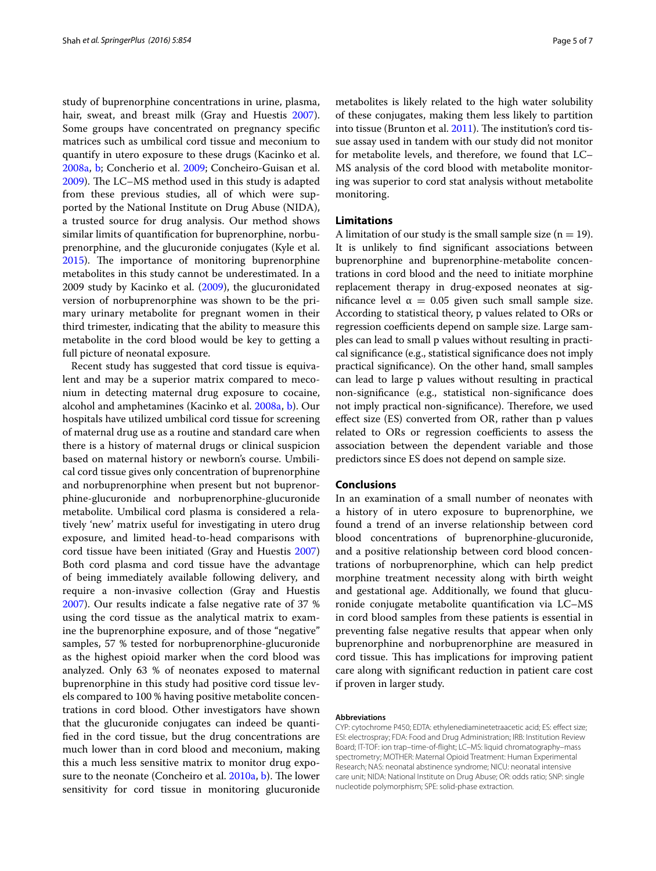study of buprenorphine concentrations in urine, plasma, hair, sweat, and breast milk (Gray and Huestis [2007](#page-9-23)). Some groups have concentrated on pregnancy specific matrices such as umbilical cord tissue and meconium to quantify in utero exposure to these drugs (Kacinko et al. [2008a](#page-9-24), [b;](#page-9-25) Concherio et al. [2009](#page-9-26); Concheiro-Guisan et al. [2009](#page-9-27)). The LC–MS method used in this study is adapted from these previous studies, all of which were supported by the National Institute on Drug Abuse (NIDA), a trusted source for drug analysis. Our method shows similar limits of quantification for buprenorphine, norbuprenorphine, and the glucuronide conjugates (Kyle et al. [2015](#page-9-8)). The importance of monitoring buprenorphine metabolites in this study cannot be underestimated. In a 2009 study by Kacinko et al. [\(2009\)](#page-9-28), the glucuronidated version of norbuprenorphine was shown to be the primary urinary metabolite for pregnant women in their third trimester, indicating that the ability to measure this metabolite in the cord blood would be key to getting a full picture of neonatal exposure.

Recent study has suggested that cord tissue is equivalent and may be a superior matrix compared to meconium in detecting maternal drug exposure to cocaine, alcohol and amphetamines (Kacinko et al. [2008a,](#page-9-24) [b\)](#page-9-25). Our hospitals have utilized umbilical cord tissue for screening of maternal drug use as a routine and standard care when there is a history of maternal drugs or clinical suspicion based on maternal history or newborn's course. Umbilical cord tissue gives only concentration of buprenorphine and norbuprenorphine when present but not buprenorphine-glucuronide and norbuprenorphine-glucuronide metabolite. Umbilical cord plasma is considered a relatively 'new' matrix useful for investigating in utero drug exposure, and limited head-to-head comparisons with cord tissue have been initiated (Gray and Huestis [2007](#page-9-23)) Both cord plasma and cord tissue have the advantage of being immediately available following delivery, and require a non-invasive collection (Gray and Huestis [2007](#page-9-23)). Our results indicate a false negative rate of 37 % using the cord tissue as the analytical matrix to examine the buprenorphine exposure, and of those "negative" samples, 57 % tested for norbuprenorphine-glucuronide as the highest opioid marker when the cord blood was analyzed. Only 63 % of neonates exposed to maternal buprenorphine in this study had positive cord tissue levels compared to 100 % having positive metabolite concentrations in cord blood. Other investigators have shown that the glucuronide conjugates can indeed be quantified in the cord tissue, but the drug concentrations are much lower than in cord blood and meconium, making this a much less sensitive matrix to monitor drug exposure to the neonate (Concheiro et al. [2010a](#page-9-18), [b](#page-9-19)). The lower sensitivity for cord tissue in monitoring glucuronide metabolites is likely related to the high water solubility of these conjugates, making them less likely to partition into tissue (Brunton et al. [2011](#page-9-29)). The institution's cord tissue assay used in tandem with our study did not monitor for metabolite levels, and therefore, we found that LC– MS analysis of the cord blood with metabolite monitoring was superior to cord stat analysis without metabolite monitoring.

#### **Limitations**

A limitation of our study is the small sample size  $(n = 19)$ . It is unlikely to find significant associations between buprenorphine and buprenorphine-metabolite concentrations in cord blood and the need to initiate morphine replacement therapy in drug-exposed neonates at significance level  $\alpha = 0.05$  given such small sample size. According to statistical theory, p values related to ORs or regression coefficients depend on sample size. Large samples can lead to small p values without resulting in practical significance (e.g., statistical significance does not imply practical significance). On the other hand, small samples can lead to large p values without resulting in practical non-significance (e.g., statistical non-significance does not imply practical non-significance). Therefore, we used effect size (ES) converted from OR, rather than p values related to ORs or regression coefficients to assess the association between the dependent variable and those predictors since ES does not depend on sample size.

#### **Conclusions**

In an examination of a small number of neonates with a history of in utero exposure to buprenorphine, we found a trend of an inverse relationship between cord blood concentrations of buprenorphine-glucuronide, and a positive relationship between cord blood concentrations of norbuprenorphine, which can help predict morphine treatment necessity along with birth weight and gestational age. Additionally, we found that glucuronide conjugate metabolite quantification via LC–MS in cord blood samples from these patients is essential in preventing false negative results that appear when only buprenorphine and norbuprenorphine are measured in cord tissue. This has implications for improving patient care along with significant reduction in patient care cost if proven in larger study.

#### **Abbreviations**

CYP: cytochrome P450; EDTA: ethylenediaminetetraacetic acid; ES: effect size; ESI: electrospray; FDA: Food and Drug Administration; IRB: Institution Review Board; IT-TOF: ion trap–time-of-flight; LC–MS: liquid chromatography–mass spectrometry; MOTHER: Maternal Opioid Treatment: Human Experimental Research; NAS: neonatal abstinence syndrome; NICU: neonatal intensive care unit; NIDA: National Institute on Drug Abuse; OR: odds ratio; SNP: single nucleotide polymorphism; SPE: solid-phase extraction.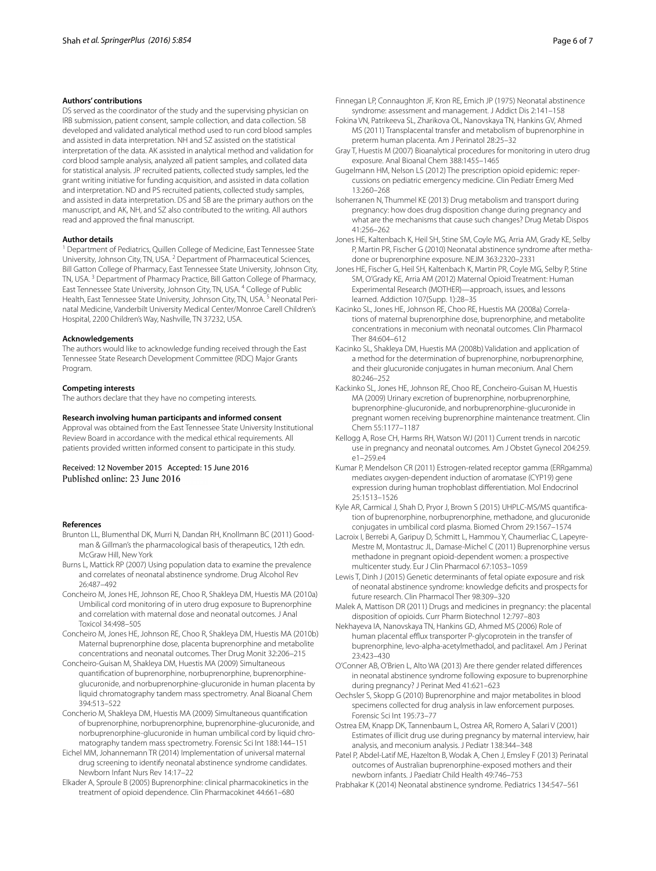#### **Authors' contributions**

DS served as the coordinator of the study and the supervising physician on IRB submission, patient consent, sample collection, and data collection. SB developed and validated analytical method used to run cord blood samples and assisted in data interpretation. NH and SZ assisted on the statistical interpretation of the data. AK assisted in analytical method and validation for cord blood sample analysis, analyzed all patient samples, and collated data for statistical analysis. JP recruited patients, collected study samples, led the grant writing initiative for funding acquisition, and assisted in data collation and interpretation. ND and PS recruited patients, collected study samples, and assisted in data interpretation. DS and SB are the primary authors on the manuscript, and AK, NH, and SZ also contributed to the writing. All authors read and approved the final manuscript.

#### **Author details**

<sup>1</sup> Department of Pediatrics, Quillen College of Medicine, East Tennessee State University, Johnson City, TN, USA. <sup>2</sup> Department of Pharmaceutical Sciences, Bill Gatton College of Pharmacy, East Tennessee State University, Johnson City, TN, USA. 3 Department of Pharmacy Practice, Bill Gatton College of Pharmacy, East Tennessee State University, Johnson City, TN, USA. <sup>4</sup> College of Public Health, East Tennessee State University, Johnson City, TN, USA.<sup>5</sup> Neonatal Perinatal Medicine, Vanderbilt University Medical Center/Monroe Carell Children's Hospital, 2200 Children's Way, Nashville, TN 37232, USA.

#### **Acknowledgements**

The authors would like to acknowledge funding received through the East Tennessee State Research Development Committee (RDC) Major Grants Program.

#### **Competing interests**

The authors declare that they have no competing interests.

#### **Research involving human participants and informed consent**

Approval was obtained from the East Tennessee State University Institutional Review Board in accordance with the medical ethical requirements. All patients provided written informed consent to participate in this study.

#### Received: 12 November 2015 Accepted: 15 June 2016 Published online: 23 June 2016

#### **References**

- <span id="page-9-29"></span>Brunton LL, Blumenthal DK, Murri N, Dandan RH, Knollmann BC (2011) Goodman & Gillman's the pharmacological basis of therapeutics, 12th edn. McGraw Hill, New York
- <span id="page-9-4"></span>Burns L, Mattick RP (2007) Using population data to examine the prevalence and correlates of neonatal abstinence syndrome. Drug Alcohol Rev 26:487–492
- <span id="page-9-18"></span>Concheiro M, Jones HE, Johnson RE, Choo R, Shakleya DM, Huestis MA (2010a) Umbilical cord monitoring of in utero drug exposure to Buprenorphine and correlation with maternal dose and neonatal outcomes. J Anal Toxicol 34:498–505
- <span id="page-9-19"></span>Concheiro M, Jones HE, Johnson RE, Choo R, Shakleya DM, Huestis MA (2010b) Maternal buprenorphine dose, placenta buprenorphine and metabolite concentrations and neonatal outcomes. Ther Drug Monit 32:206–215
- <span id="page-9-27"></span>Concheiro-Guisan M, Shakleya DM, Huestis MA (2009) Simultaneous quantification of buprenorphine, norbuprenorphine, buprenorphineglucuronide, and norbuprenorphine-glucuronide in human placenta by liquid chromatography tandem mass spectrometry. Anal Bioanal Chem 394:513–522
- <span id="page-9-26"></span>Concherio M, Shakleya DM, Huestis MA (2009) Simultaneous quantification of buprenorphine, norbuprenorphine, buprenorphine-glucuronide, and norbuprenorphine-glucuronide in human umbilical cord by liquid chromatography tandem mass spectrometry. Forensic Sci Int 188:144–151
- <span id="page-9-0"></span>Eichel MM, Johannemann TR (2014) Implementation of universal maternal drug screening to identify neonatal abstinence syndrome candidates. Newborn Infant Nurs Rev 14:17–22
- <span id="page-9-12"></span>Elkader A, Sproule B (2005) Buprenorphine: clinical pharmacokinetics in the treatment of opioid dependence. Clin Pharmacokinet 44:661–680
- <span id="page-9-15"></span><span id="page-9-7"></span>Fokina VN, Patrikeeva SL, Zharikova OL, Nanovskaya TN, Hankins GV, Ahmed MS (2011) Transplacental transfer and metabolism of buprenorphine in preterm human placenta. Am J Perinatol 28:25–32
- <span id="page-9-23"></span>Gray T, Huestis M (2007) Bioanalytical procedures for monitoring in utero drug exposure. Anal Bioanal Chem 388:1455–1465
- <span id="page-9-1"></span>Gugelmann HM, Nelson LS (2012) The prescription opioid epidemic: repercussions on pediatric emergency medicine. Clin Pediatr Emerg Med 13:260–268
- <span id="page-9-14"></span>Isoherranen N, Thummel KE (2013) Drug metabolism and transport during pregnancy: how does drug disposition change during pregnancy and what are the mechanisms that cause such changes? Drug Metab Dispos 41:256–262
- <span id="page-9-2"></span>Jones HE, Kaltenbach K, Heil SH, Stine SM, Coyle MG, Arria AM, Grady KE, Selby P, Martin PR, Fischer G (2010) Neonatal abstinence syndrome after methadone or buprenorphine exposure. NEJM 363:2320–2331
- <span id="page-9-21"></span>Jones HE, Fischer G, Heil SH, Kaltenbach K, Martin PR, Coyle MG, Selby P, Stine SM, O'Grady KE, Arria AM (2012) Maternal Opioid Treatment: Human Experimental Research (MOTHER)—approach, issues, and lessons learned. Addiction 107(Supp. 1):28–35
- <span id="page-9-24"></span>Kacinko SL, Jones HE, Johnson RE, Choo RE, Huestis MA (2008a) Correlations of maternal buprenorphine dose, buprenorphine, and metabolite concentrations in meconium with neonatal outcomes. Clin Pharmacol Ther 84:604–612
- <span id="page-9-25"></span>Kacinko SL, Shakleya DM, Huestis MA (2008b) Validation and application of a method for the determination of buprenorphine, norbuprenorphine, and their glucuronide conjugates in human meconium. Anal Chem 80:246–252
- <span id="page-9-28"></span>Kackinko SL, Jones HE, Johnson RE, Choo RE, Concheiro-Guisan M, Huestis MA (2009) Urinary excretion of buprenorphine, norbuprenorphine, buprenorphine-glucuronide, and norbuprenorphine-glucuronide in pregnant women receiving buprenorphine maintenance treatment. Clin Chem 55:1177–1187
- <span id="page-9-5"></span>Kellogg A, Rose CH, Harms RH, Watson WJ (2011) Current trends in narcotic use in pregnancy and neonatal outcomes. Am J Obstet Gynecol 204:259. e1–259.e4
- <span id="page-9-16"></span>Kumar P, Mendelson CR (2011) Estrogen-related receptor gamma (ERRgamma) mediates oxygen-dependent induction of aromatase (CYP19) gene expression during human trophoblast differentiation. Mol Endocrinol 25:1513–1526
- <span id="page-9-8"></span>Kyle AR, Carmical J, Shah D, Pryor J, Brown S (2015) UHPLC-MS/MS quantification of buprenorphine, norbuprenorphine, methadone, and glucuronide conjugates in umbilical cord plasma. Biomed Chrom 29:1567–1574
- <span id="page-9-10"></span>Lacroix I, Berrebi A, Garipuy D, Schmitt L, Hammou Y, Chaumerliac C, Lapeyre-Mestre M, Montastruc JL, Damase-Michel C (2011) Buprenorphine versus methadone in pregnant opioid-dependent women: a prospective multicenter study. Eur J Clin Pharmacol 67:1053–1059
- <span id="page-9-13"></span>Lewis T, Dinh J (2015) Genetic determinants of fetal opiate exposure and risk of neonatal abstinence syndrome: knowledge deficits and prospects for future research. Clin Pharmacol Ther 98:309–320
- <span id="page-9-9"></span>Malek A, Mattison DR (2011) Drugs and medicines in pregnancy: the placental disposition of opioids. Curr Pharm Biotechnol 12:797–803
- <span id="page-9-17"></span>Nekhayeva IA, Nanovskaya TN, Hankins GD, Ahmed MS (2006) Role of human placental efflux transporter P-glycoprotein in the transfer of buprenorphine, levo-alpha-acetylmethadol, and paclitaxel. Am J Perinat 23:423–430
- <span id="page-9-20"></span>O'Conner AB, O'Brien L, Alto WA (2013) Are there gender related differences in neonatal abstinence syndrome following exposure to buprenorphine during pregnancy? J Perinat Med 41:621–623
- <span id="page-9-6"></span>Oechsler S, Skopp G (2010) Buprenorphine and major metabolites in blood specimens collected for drug analysis in law enforcement purposes. Forensic Sci Int 195:73–77
- <span id="page-9-22"></span>Ostrea EM, Knapp DK, Tannenbaum L, Ostrea AR, Romero A, Salari V (2001) Estimates of illicit drug use during pregnancy by maternal interview, hair analysis, and meconium analysis. J Pediatr 138:344–348
- <span id="page-9-11"></span>Patel P, Abdel-Latif ME, Hazelton B, Wodak A, Chen J, Emsley F (2013) Perinatal outcomes of Australian buprenorphine-exposed mothers and their newborn infants. J Paediatr Child Health 49:746–753
- <span id="page-9-3"></span>Prabhakar K (2014) Neonatal abstinence syndrome. Pediatrics 134:547–561